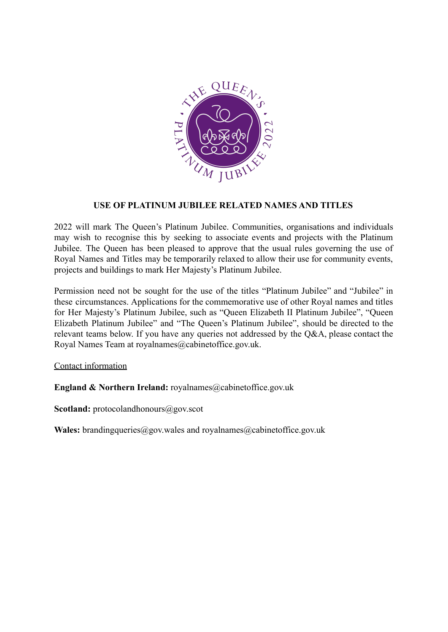

### **USE OF PLATINUM JUBILEE RELATED NAMES AND TITLES**

2022 will mark The Queen's Platinum Jubilee. Communities, organisations and individuals may wish to recognise this by seeking to associate events and projects with the Platinum Jubilee. The Queen has been pleased to approve that the usual rules governing the use of Royal Names and Titles may be temporarily relaxed to allow their use for community events, projects and buildings to mark Her Majesty's Platinum Jubilee.

Permission need not be sought for the use of the titles "Platinum Jubilee" and "Jubilee" in these circumstances. Applications for the commemorative use of other Royal names and titles for Her Majesty's Platinum Jubilee, such as "Queen Elizabeth II Platinum Jubilee", "Queen Elizabeth Platinum Jubilee" and "The Queen's Platinum Jubilee", should be directed to the relevant teams below. If you have any queries not addressed by the Q&A, please contact the Royal Names Team at royalnames@cabinetoffice.gov.uk.

### Contact information

**England & Northern Ireland:** royalnames@cabinetoffice.gov.uk

Scotland: protocolandhonours@gov.scot

**Wales:** brandingqueries@gov.wales and royalnames@cabinetoffice.gov.uk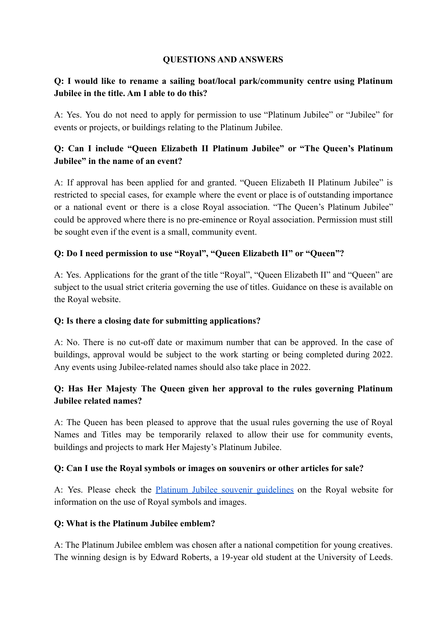### **QUESTIONS AND ANSWERS**

### **Q: I would like to rename a sailing boat/local park/community centre using Platinum Jubilee in the title. Am I able to do this?**

A: Yes. You do not need to apply for permission to use "Platinum Jubilee" or "Jubilee" for events or projects, or buildings relating to the Platinum Jubilee.

## **Q: Can I include "Queen Elizabeth II Platinum Jubilee" or "The Queen's Platinum Jubilee" in the name of an event?**

A: If approval has been applied for and granted. "Queen Elizabeth II Platinum Jubilee" is restricted to special cases, for example where the event or place is of outstanding importance or a national event or there is a close Royal association. "The Queen's Platinum Jubilee" could be approved where there is no pre-eminence or Royal association. Permission must still be sought even if the event is a small, community event.

### **Q: Do I need permission to use "Royal", "Queen Elizabeth II" or "Queen"?**

A: Yes. Applications for the grant of the title "Royal", "Queen Elizabeth II" and "Queen" are subject to the usual strict criteria governing the use of titles. Guidance on these is available on the Royal website.

### **Q: Is there a closing date for submitting applications?**

A: No. There is no cut-off date or maximum number that can be approved. In the case of buildings, approval would be subject to the work starting or being completed during 2022. Any events using Jubilee-related names should also take place in 2022.

## **Q: Has Her Majesty The Queen given her approval to the rules governing Platinum Jubilee related names?**

A: The Queen has been pleased to approve that the usual rules governing the use of Royal Names and Titles may be temporarily relaxed to allow their use for community events, buildings and projects to mark Her Majesty's Platinum Jubilee.

### **Q: Can I use the Royal symbols or images on souvenirs or other articles for sale?**

A: Yes. Please check the Platinum Jubilee souvenir [guidelines](https://www.royal.uk/sites/default/files/platinum_jubilee_souvenir_guidelines.pdf) on the Royal website for information on the use of Royal symbols and images.

### **Q: What is the Platinum Jubilee emblem?**

A: The Platinum Jubilee emblem was chosen after a national competition for young creatives. The winning design is by Edward Roberts, a 19-year old student at the University of Leeds.